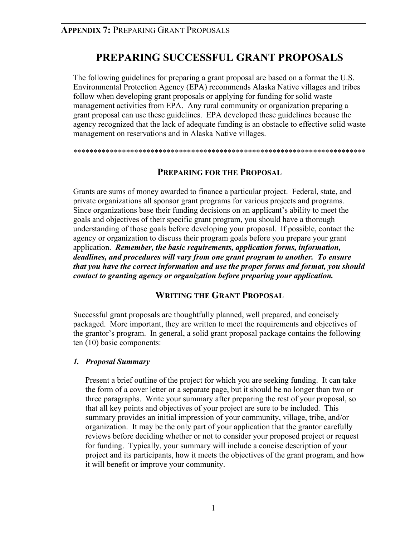## **PREPARING SUCCESSFUL GRANT PROPOSALS**

The following guidelines for preparing a grant proposal are based on a format the U.S. Environmental Protection Agency (EPA) recommends Alaska Native villages and tribes follow when developing grant proposals or applying for funding for solid waste management activities from EPA. Any rural community or organization preparing a grant proposal can use these guidelines. EPA developed these guidelines because the agency recognized that the lack of adequate funding is an obstacle to effective solid waste management on reservations and in Alaska Native villages.

\*\*\*\*\*\*\*\*\*\*\*\*\*\*\*\*\*\*\*\*\*\*\*\*\*\*\*\*\*\*\*\*\*\*\*\*\*\*\*\*\*\*\*\*\*\*\*\*\*\*\*\*\*\*\*\*\*\*\*\*\*\*\*\*\*\*\*\*\*\*\*\*

## **PREPARING FOR THE PROPOSAL**

Grants are sums of money awarded to finance a particular project. Federal, state, and private organizations all sponsor grant programs for various projects and programs. Since organizations base their funding decisions on an applicant's ability to meet the goals and objectives of their specific grant program, you should have a thorough understanding of those goals before developing your proposal. If possible, contact the agency or organization to discuss their program goals before you prepare your grant application. *Remember, the basic requirements, application forms, information, deadlines, and procedures will vary from one grant program to another. To ensure that you have the correct information and use the proper forms and format, you should contact to granting agency or organization before preparing your application.* 

## **WRITING THE GRANT PROPOSAL**

Successful grant proposals are thoughtfully planned, well prepared, and concisely packaged. More important, they are written to meet the requirements and objectives of the grantor's program. In general, a solid grant proposal package contains the following ten (10) basic components:

#### *1. Proposal Summary*

Present a brief outline of the project for which you are seeking funding. It can take the form of a cover letter or a separate page, but it should be no longer than two or three paragraphs. Write your summary after preparing the rest of your proposal, so that all key points and objectives of your project are sure to be included. This summary provides an initial impression of your community, village, tribe, and/or organization. It may be the only part of your application that the grantor carefully reviews before deciding whether or not to consider your proposed project or request for funding. Typically, your summary will include a concise description of your project and its participants, how it meets the objectives of the grant program, and how it will benefit or improve your community.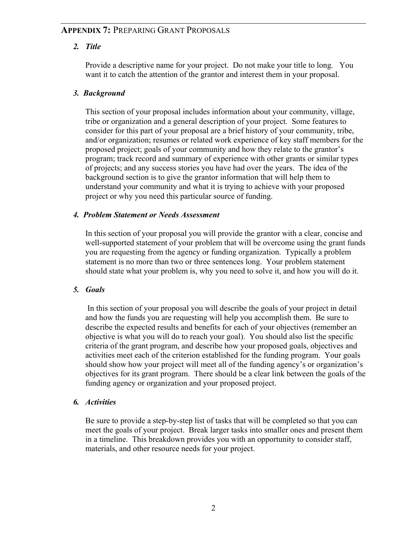### *2. Title*

Provide a descriptive name for your project. Do not make your title to long. You want it to catch the attention of the grantor and interest them in your proposal.

### *3. Background*

This section of your proposal includes information about your community, village, tribe or organization and a general description of your project. Some features to consider for this part of your proposal are a brief history of your community, tribe, and/or organization; resumes or related work experience of key staff members for the proposed project; goals of your community and how they relate to the grantor's program; track record and summary of experience with other grants or similar types of projects; and any success stories you have had over the years. The idea of the background section is to give the grantor information that will help them to understand your community and what it is trying to achieve with your proposed project or why you need this particular source of funding.

#### *4. Problem Statement or Needs Assessment*

In this section of your proposal you will provide the grantor with a clear, concise and well-supported statement of your problem that will be overcome using the grant funds you are requesting from the agency or funding organization. Typically a problem statement is no more than two or three sentences long. Your problem statement should state what your problem is, why you need to solve it, and how you will do it.

## *5. Goals*

 In this section of your proposal you will describe the goals of your project in detail and how the funds you are requesting will help you accomplish them. Be sure to describe the expected results and benefits for each of your objectives (remember an objective is what you will do to reach your goal). You should also list the specific criteria of the grant program, and describe how your proposed goals, objectives and activities meet each of the criterion established for the funding program. Your goals should show how your project will meet all of the funding agency's or organization's objectives for its grant program. There should be a clear link between the goals of the funding agency or organization and your proposed project.

#### *6. Activities*

Be sure to provide a step-by-step list of tasks that will be completed so that you can meet the goals of your project. Break larger tasks into smaller ones and present them in a timeline. This breakdown provides you with an opportunity to consider staff, materials, and other resource needs for your project.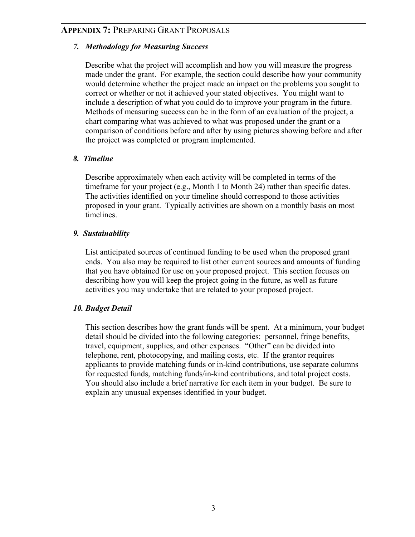#### *7. Methodology for Measuring Success*

Describe what the project will accomplish and how you will measure the progress made under the grant. For example, the section could describe how your community would determine whether the project made an impact on the problems you sought to correct or whether or not it achieved your stated objectives. You might want to include a description of what you could do to improve your program in the future. Methods of measuring success can be in the form of an evaluation of the project, a chart comparing what was achieved to what was proposed under the grant or a comparison of conditions before and after by using pictures showing before and after the project was completed or program implemented.

### *8. Timeline*

Describe approximately when each activity will be completed in terms of the timeframe for your project (e.g., Month 1 to Month 24) rather than specific dates. The activities identified on your timeline should correspond to those activities proposed in your grant. Typically activities are shown on a monthly basis on most timelines.

### *9. Sustainability*

List anticipated sources of continued funding to be used when the proposed grant ends. You also may be required to list other current sources and amounts of funding that you have obtained for use on your proposed project. This section focuses on describing how you will keep the project going in the future, as well as future activities you may undertake that are related to your proposed project.

## *10. Budget Detail*

This section describes how the grant funds will be spent. At a minimum, your budget detail should be divided into the following categories: personnel, fringe benefits, travel, equipment, supplies, and other expenses. "Other" can be divided into telephone, rent, photocopying, and mailing costs, etc. If the grantor requires applicants to provide matching funds or in-kind contributions, use separate columns for requested funds, matching funds/in-kind contributions, and total project costs. You should also include a brief narrative for each item in your budget. Be sure to explain any unusual expenses identified in your budget.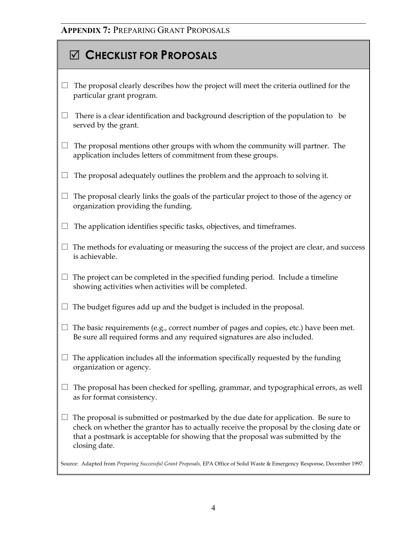# 5 **CHECKLIST FOR PROPOSALS**

- $\Box$  The proposal clearly describes how the project will meet the criteria outlined for the particular grant program.
- $\Box$  There is a clear identification and background description of the population to be served by the grant.
- $\Box$  The proposal mentions other groups with whom the community will partner. The application includes letters of commitment from these groups.
- $\Box$  The proposal adequately outlines the problem and the approach to solving it.
- $\Box$  The proposal clearly links the goals of the particular project to those of the agency or organization providing the funding.
- $\Box$  The application identifies specific tasks, objectives, and timeframes.
- $\Box$  The methods for evaluating or measuring the success of the project are clear, and success is achievable.
- $\Box$  The project can be completed in the specified funding period. Include a timeline showing activities when activities will be completed.
- $\Box$  The budget figures add up and the budget is included in the proposal.
- $\Box$  The basic requirements (e.g., correct number of pages and copies, etc.) have been met. Be sure all required forms and any required signatures are also included.
- $\Box$  The application includes all the information specifically requested by the funding organization or agency.
- $\Box$  The proposal has been checked for spelling, grammar, and typographical errors, as well as for format consistency.
- $\Box$  The proposal is submitted or postmarked by the due date for application. Be sure to check on whether the grantor has to actually receive the proposal by the closing date or that a postmark is acceptable for showing that the proposal was submitted by the closing date.

Source: Adapted from *Preparing Successful Grant Proposals,* EPA Office of Solid Waste & Emergency Response, December 1997.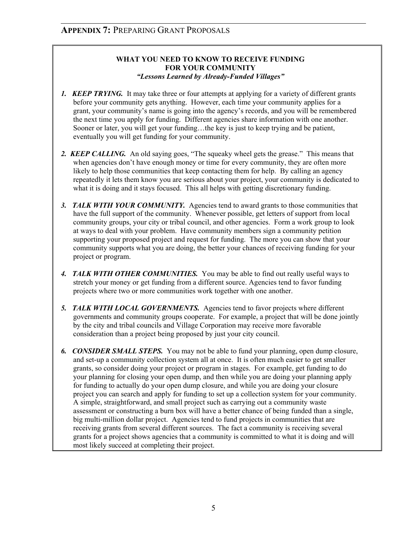#### **WHAT YOU NEED TO KNOW TO RECEIVE FUNDING FOR YOUR COMMUNITY** *"Lessons Learned by Already-Funded Villages"*

- *1. KEEP TRYING.* It may take three or four attempts at applying for a variety of different grants before your community gets anything. However, each time your community applies for a grant, your community's name is going into the agency's records, and you will be remembered the next time you apply for funding. Different agencies share information with one another. Sooner or later, you will get your funding...the key is just to keep trying and be patient, eventually you will get funding for your community.
- 2. **KEEP CALLING.** An old saying goes, "The squeaky wheel gets the grease." This means that when agencies don't have enough money or time for every community, they are often more likely to help those communities that keep contacting them for help. By calling an agency repeatedly it lets them know you are serious about your project, your community is dedicated to what it is doing and it stays focused. This all helps with getting discretionary funding.
- 3. TALK WITH YOUR COMMUNITY. Agencies tend to award grants to those communities that have the full support of the community. Whenever possible, get letters of support from local community groups, your city or tribal council, and other agencies. Form a work group to look at ways to deal with your problem. Have community members sign a community petition supporting your proposed project and request for funding. The more you can show that your community supports what you are doing, the better your chances of receiving funding for your project or program.
- *4. TALK WITH OTHER COMMUNITIES.* You may be able to find out really useful ways to stretch your money or get funding from a different source. Agencies tend to favor funding projects where two or more communities work together with one another.
- **5. TALK WITH LOCAL GOVERNMENTS.** Agencies tend to favor projects where different governments and community groups cooperate. For example, a project that will be done jointly by the city and tribal councils and Village Corporation may receive more favorable consideration than a project being proposed by just your city council.
- *6. CONSIDER SMALL STEPS.* You may not be able to fund your planning, open dump closure, and set-up a community collection system all at once. It is often much easier to get smaller grants, so consider doing your project or program in stages. For example, get funding to do your planning for closing your open dump, and then while you are doing your planning apply for funding to actually do your open dump closure, and while you are doing your closure project you can search and apply for funding to set up a collection system for your community. A simple, straightforward, and small project such as carrying out a community waste assessment or constructing a burn box will have a better chance of being funded than a single, big multi-million dollar project. Agencies tend to fund projects in communities that are receiving grants from several different sources. The fact a community is receiving several grants for a project shows agencies that a community is committed to what it is doing and will most likely succeed at completing their project.